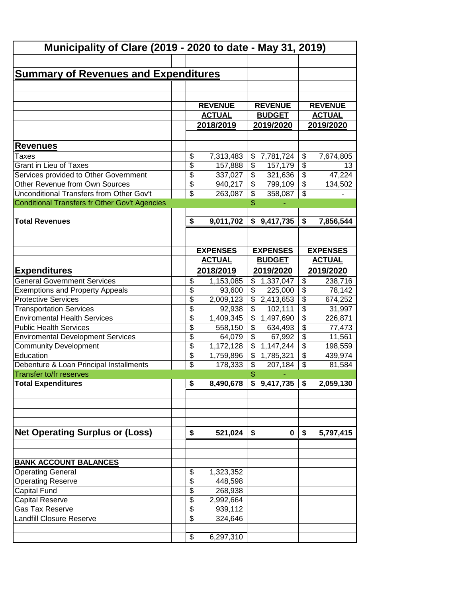|                                                      | Municipality of Clare (2019 - 2020 to date - May 31, 2019) |                 |                          |                           |                             |                 |  |  |  |  |
|------------------------------------------------------|------------------------------------------------------------|-----------------|--------------------------|---------------------------|-----------------------------|-----------------|--|--|--|--|
|                                                      |                                                            |                 |                          |                           |                             |                 |  |  |  |  |
| <b>Summary of Revenues and Expenditures</b>          |                                                            |                 |                          |                           |                             |                 |  |  |  |  |
|                                                      |                                                            |                 |                          |                           |                             |                 |  |  |  |  |
|                                                      |                                                            |                 |                          |                           |                             |                 |  |  |  |  |
|                                                      |                                                            |                 | <b>REVENUE</b>           |                           |                             |                 |  |  |  |  |
|                                                      |                                                            | <b>REVENUE</b>  |                          |                           |                             | <b>REVENUE</b>  |  |  |  |  |
|                                                      |                                                            | <b>ACTUAL</b>   |                          | <b>BUDGET</b>             |                             | <b>ACTUAL</b>   |  |  |  |  |
|                                                      |                                                            | 2018/2019       |                          | 2019/2020                 |                             | 2019/2020       |  |  |  |  |
|                                                      |                                                            |                 |                          |                           |                             |                 |  |  |  |  |
| <b>Revenues</b>                                      |                                                            |                 |                          |                           |                             |                 |  |  |  |  |
| Taxes                                                | \$                                                         | 7,313,483       | \$                       | 7,781,724                 | \$                          | 7,674,805       |  |  |  |  |
| <b>Grant in Lieu of Taxes</b>                        | \$                                                         | 157,888         | \$                       | 157,179                   | $\overline{\$}$             | 13              |  |  |  |  |
| Services provided to Other Government                | \$                                                         | 337,027         | \$                       | 321,636                   | $\overline{\$}$             | 47,224          |  |  |  |  |
| Other Revenue from Own Sources                       | \$                                                         | 940,217         | \$                       | 799,109                   | $\overline{\$}$             | 134,502         |  |  |  |  |
| Unconditional Transfers from Other Gov't             | \$                                                         | 263,087         | \$                       | 358,087                   | $\overline{\mathcal{S}}$    |                 |  |  |  |  |
| <b>Conditional Transfers fr Other Gov't Agencies</b> |                                                            |                 | \$                       |                           |                             |                 |  |  |  |  |
| <b>Total Revenues</b>                                | \$                                                         | 9,011,702       |                          | \$9,417,735               | $\overline{\boldsymbol{s}}$ | 7,856,544       |  |  |  |  |
|                                                      |                                                            |                 |                          |                           |                             |                 |  |  |  |  |
|                                                      |                                                            |                 |                          |                           |                             |                 |  |  |  |  |
|                                                      |                                                            | <b>EXPENSES</b> |                          | <b>EXPENSES</b>           |                             | <b>EXPENSES</b> |  |  |  |  |
|                                                      |                                                            | <b>ACTUAL</b>   |                          | <b>BUDGET</b>             |                             | <b>ACTUAL</b>   |  |  |  |  |
| <b>Expenditures</b>                                  |                                                            | 2018/2019       |                          | 2019/2020                 | 2019/2020                   |                 |  |  |  |  |
| <b>General Government Services</b>                   | \$                                                         | 1,153,085       | \$                       | 1,337,047                 | \$                          | 238,716         |  |  |  |  |
| <b>Exemptions and Property Appeals</b>               | \$                                                         | 93,600          | \$                       | 225,000                   | $\overline{\$}$             | 78,142          |  |  |  |  |
| <b>Protective Services</b>                           | \$                                                         | 2,009,123       |                          | $\overline{\$}$ 2,413,653 | $\overline{\$}$             | 674,252         |  |  |  |  |
| <b>Transportation Services</b>                       | \$                                                         | 92,938          | \$                       | 102,111                   | $\overline{\$}$             | 31,997          |  |  |  |  |
| <b>Enviromental Health Services</b>                  | $\overline{\$}$                                            | 1,409,345       | $\overline{\$}$          | 1,497,690                 | $\overline{\$}$             | 226,871         |  |  |  |  |
| <b>Public Health Services</b>                        | $\overline{\$}$                                            | 558,150         | $\overline{\$}$          | 634,493                   | $\overline{\$}$             | 77,473          |  |  |  |  |
| <b>Enviromental Development Services</b>             | \$                                                         | 64,079          | $\overline{\$}$          | 67,992                    | $\overline{\$}$             | 11,561          |  |  |  |  |
| <b>Community Development</b>                         | \$                                                         | 1,172,128       | $\overline{\mathcal{L}}$ | 1,147,244                 | $\overline{\$}$             | 198,559         |  |  |  |  |
| Education                                            | \$                                                         | 1,759,896       | $\overline{\mathcal{L}}$ | 1,785,321                 | $\overline{\mathcal{L}}$    | 439,974         |  |  |  |  |
| Debenture & Loan Principal Installments              | \$                                                         | 178,333         | $\overline{\mathcal{L}}$ | 207,184                   | \$                          | 81,584          |  |  |  |  |
| <b>Transfer to/fr reserves</b>                       |                                                            |                 | \$                       |                           |                             |                 |  |  |  |  |
| <b>Total Expenditures</b>                            | \$                                                         | 8,490,678       |                          | \$9,417,735               | \$                          | 2,059,130       |  |  |  |  |
|                                                      |                                                            |                 |                          |                           |                             |                 |  |  |  |  |
|                                                      |                                                            |                 |                          |                           |                             |                 |  |  |  |  |
|                                                      |                                                            |                 |                          |                           |                             |                 |  |  |  |  |
|                                                      |                                                            |                 |                          |                           |                             |                 |  |  |  |  |
| <b>Net Operating Surplus or (Loss)</b>               | \$                                                         | 521,024         | \$                       | 0                         | \$                          | 5,797,415       |  |  |  |  |
|                                                      |                                                            |                 |                          |                           |                             |                 |  |  |  |  |
|                                                      |                                                            |                 |                          |                           |                             |                 |  |  |  |  |
| <b>BANK ACCOUNT BALANCES</b>                         |                                                            |                 |                          |                           |                             |                 |  |  |  |  |
| <b>Operating General</b>                             | \$                                                         | 1,323,352       |                          |                           |                             |                 |  |  |  |  |
| <b>Operating Reserve</b>                             | \$                                                         | 448,598         |                          |                           |                             |                 |  |  |  |  |
| Capital Fund                                         | \$                                                         | 268,938         |                          |                           |                             |                 |  |  |  |  |
| Capital Reserve                                      | \$                                                         | 2,992,664       |                          |                           |                             |                 |  |  |  |  |
| <b>Gas Tax Reserve</b>                               | \$                                                         | 939,112         |                          |                           |                             |                 |  |  |  |  |
| <b>Landfill Closure Reserve</b>                      | \$                                                         | 324,646         |                          |                           |                             |                 |  |  |  |  |
|                                                      | \$                                                         | 6,297,310       |                          |                           |                             |                 |  |  |  |  |
|                                                      |                                                            |                 |                          |                           |                             |                 |  |  |  |  |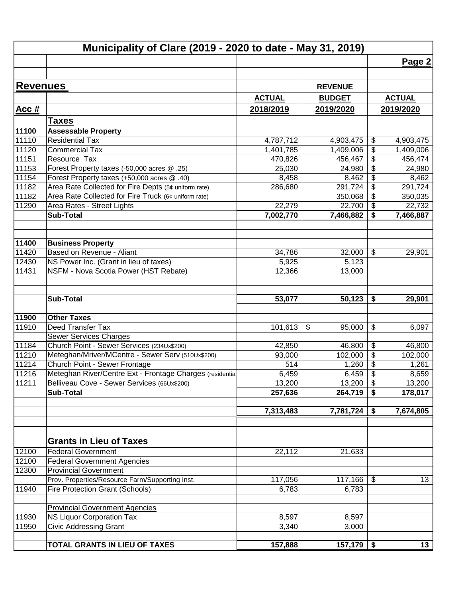|                | Municipality of Clare (2019 - 2020 to date - May 31, 2019) |               |                |                            |               |
|----------------|------------------------------------------------------------|---------------|----------------|----------------------------|---------------|
|                |                                                            |               |                |                            | Page 2        |
|                |                                                            |               |                |                            |               |
| Revenues       |                                                            |               | <b>REVENUE</b> |                            |               |
|                |                                                            | <b>ACTUAL</b> | <b>BUDGET</b>  |                            | <b>ACTUAL</b> |
| Acc#           |                                                            | 2018/2019     | 2019/2020      |                            | 2019/2020     |
|                | <b>Taxes</b>                                               |               |                |                            |               |
| 11100          | <b>Assessable Property</b>                                 |               |                |                            |               |
| 11110          | <b>Residential Tax</b>                                     | 4,787,712     | 4,903,475      | \$                         | 4,903,475     |
| 11120          | <b>Commercial Tax</b>                                      | 1,401,785     | 1,409,006      | \$                         | 1,409,006     |
| 11151          | Resource Tax                                               | 470,826       | 456,467        | \$                         | 456,474       |
| 11153          | Forest Property taxes (-50,000 acres @ .25)                | 25,030        | 24,980         | \$                         | 24,980        |
| 11154          | Forest Property taxes (+50,000 acres @ .40)                | 8,458         | 8,462          | \$                         | 8,462         |
| 11182          | Area Rate Collected for Fire Depts (5¢ uniform rate)       | 286,680       | 291,724        | \$                         | 291,724       |
| 11182          | Area Rate Collected for Fire Truck (6¢ uniform rate)       |               | 350,068        | \$                         | 350,035       |
| 11290          | Area Rates - Street Lights                                 | 22,279        | 22,700         | \$                         | 22,732        |
|                | <b>Sub-Total</b>                                           | 7,002,770     | 7,466,882      | \$                         | 7,466,887     |
|                |                                                            |               |                |                            |               |
| 11400          | <b>Business Property</b>                                   |               |                |                            |               |
| 11420          | Based on Revenue - Aliant                                  | 34,786        | 32,000         | $\boldsymbol{\mathsf{\$}}$ | 29,901        |
| 12430          | NS Power Inc. (Grant in lieu of taxes)                     | 5,925         | 5,123          |                            |               |
| 11431          | NSFM - Nova Scotia Power (HST Rebate)                      | 12,366        | 13,000         |                            |               |
|                |                                                            |               |                |                            |               |
|                | <b>Sub-Total</b>                                           | 53,077        | 50,123         | \$                         | 29,901        |
| 11900          | <b>Other Taxes</b>                                         |               |                |                            |               |
| 11910          | Deed Transfer Tax                                          | 101,613       | \$<br>95,000   | \$                         | 6,097         |
|                | <b>Sewer Services Charges</b>                              |               |                |                            |               |
| 11184          | Church Point - Sewer Services (234Ux\$200)                 | 42,850        | 46,800         | \$                         | 46,800        |
| 11210          | Meteghan/Mriver/MCentre - Sewer Serv (510Ux\$200)          | 93,000        | 102,000        | \$                         | 102,000       |
| 11214          | Church Point - Sewer Frontage                              | 514           | 1,260          | \$                         | 1,261         |
| 11216          | Meteghan River/Centre Ext - Frontage Charges (residentia   | 6,459         | 6,459          | $\overline{\mathbf{e}}$    | 8,659         |
| 11211          | Belliveau Cove - Sewer Services (66Ux\$200)                | 13,200        | 13,200         | $\boldsymbol{\mathsf{S}}$  | 13,200        |
|                | <b>Sub-Total</b>                                           | 257,636       | 264,719        | \$                         | 178,017       |
|                |                                                            |               |                |                            |               |
|                |                                                            | 7,313,483     | 7,781,724      | \$                         | 7,674,805     |
|                |                                                            |               |                |                            |               |
|                | <b>Grants in Lieu of Taxes</b>                             |               |                |                            |               |
| 12100          | <b>Federal Government</b>                                  | 22,112        | 21,633         |                            |               |
| 12100          | <b>Federal Government Agencies</b>                         |               |                |                            |               |
| 12300          | <b>Provincial Government</b>                               |               |                |                            |               |
|                | Prov. Properties/Resource Farm/Supporting Inst.            | 117,056       | 117,166        | $\boldsymbol{\mathsf{\$}}$ | 13            |
| 11940          | Fire Protection Grant (Schools)                            | 6,783         | 6,783          |                            |               |
|                |                                                            |               |                |                            |               |
|                | <b>Provincial Government Agencies</b>                      |               |                |                            |               |
|                | <b>NS Liquor Corporation Tax</b>                           | 8,597         | 8,597          |                            |               |
|                | <b>Civic Addressing Grant</b>                              | 3,340         | 3,000          |                            |               |
| 11930<br>11950 | TOTAL GRANTS IN LIEU OF TAXES                              | 157,888       | $157,179$   \$ |                            | 13            |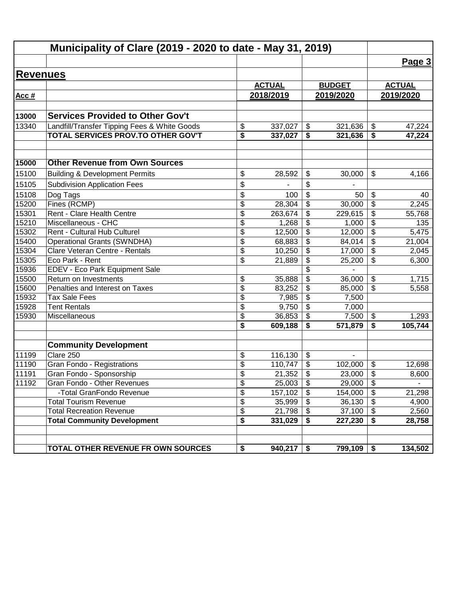|                 | Municipality of Clare (2019 - 2020 to date - May 31, 2019) |                                      |               |                           |               |                         |               |
|-----------------|------------------------------------------------------------|--------------------------------------|---------------|---------------------------|---------------|-------------------------|---------------|
|                 |                                                            |                                      |               |                           |               |                         | Page 3        |
| <b>Revenues</b> |                                                            |                                      |               |                           |               |                         |               |
|                 |                                                            |                                      | <b>ACTUAL</b> |                           | <b>BUDGET</b> |                         | <b>ACTUAL</b> |
| Acc $#$         |                                                            |                                      | 2018/2019     |                           | 2019/2020     |                         | 2019/2020     |
|                 |                                                            |                                      |               |                           |               |                         |               |
| 13000           | <b>Services Provided to Other Gov't</b>                    |                                      |               |                           |               |                         |               |
| 13340           | Landfill/Transfer Tipping Fees & White Goods               | \$                                   | 337,027       | \$                        | 321,636       | \$                      | 47,224        |
|                 | TOTAL SERVICES PROV.TO OTHER GOV'T                         | \$                                   | 337,027       | \$                        | 321,636       | \$                      | 47,224        |
| 15000           | <b>Other Revenue from Own Sources</b>                      |                                      |               |                           |               |                         |               |
| 15100           | <b>Building &amp; Development Permits</b>                  | \$                                   | 28,592        | \$                        | 30,000        | \$                      | 4,166         |
| 15105           | <b>Subdivision Application Fees</b>                        | \$                                   |               | \$                        |               |                         |               |
| 15108           | Dog Tags                                                   | \$                                   | 100           | \$                        | 50            | \$                      | 40            |
| 15200           | Fines (RCMP)                                               | \$                                   | 28,304        | \$                        | 30,000        | \$                      | 2,245         |
| 15301           | Rent - Clare Health Centre                                 | \$                                   | 263,674       | \$                        | 229,615       | \$                      | 55,768        |
| 15210           | Miscellaneous - CHC                                        | \$                                   | 1,268         | \$                        | 1,000         | \$                      | 135           |
| 15302           | Rent - Cultural Hub Culturel                               | \$                                   | 12,500        | \$                        | 12,000        | \$                      | 5,475         |
| 15400           | <b>Operational Grants (SWNDHA)</b>                         | \$                                   | 68,883        | \$                        | 84,014        | \$                      | 21,004        |
| 15304           | Clare Veteran Centre - Rentals                             | \$                                   | 10,250        | \$                        | 17,000        | \$                      | 2,045         |
| 15305           | Eco Park - Rent                                            | \$                                   | 21,889        | \$                        | 25,200        | \$                      | 6,300         |
| 15936           | EDEV - Eco Park Equipment Sale                             |                                      |               |                           |               |                         |               |
| 15500           | Return on Investments                                      | \$                                   | 35,888        | \$                        | 36,000        | \$                      | 1,715         |
| 15600           | Penalties and Interest on Taxes                            | \$                                   | 83,252        | \$                        | 85,000        | \$                      | 5,558         |
| 15932           | <b>Tax Sale Fees</b>                                       | \$                                   | 7,985         | \$                        | 7,500         |                         |               |
| 15928           | <b>Tent Rentals</b>                                        | \$                                   | 9,750         | \$                        | 7,000         |                         |               |
| 15930           | Miscellaneous                                              | \$                                   | 36,853        | \$                        | 7,500         | \$                      | 1,293         |
|                 |                                                            | \$                                   | 609,188       | \$                        | 571,879       | \$                      | 105,744       |
|                 | <b>Community Development</b>                               |                                      |               |                           |               |                         |               |
| 11199           | Clare 250                                                  | \$                                   | 116,130       | $\boldsymbol{\mathsf{S}}$ |               |                         |               |
| 11190           | Gran Fondo - Registrations                                 | \$                                   | 110,747       | $\boldsymbol{\mathsf{S}}$ | 102,000       | \$                      | 12,698        |
| 11191           | Gran Fondo - Sponsorship                                   | \$                                   | $21,352$ \$   |                           | $23,000$ \ \$ |                         | 8,600         |
| 11192           | Gran Fondo - Other Revenues                                | \$                                   | 25,003        | $\sqrt[6]{\frac{1}{2}}$   | 29,000        | $\sqrt[6]{\frac{1}{2}}$ |               |
|                 | -Total GranFondo Revenue                                   | \$                                   | 157,102       | €                         | 154,000       | $\overline{\mathbf{3}}$ | 21,298        |
|                 | <b>Total Tourism Revenue</b>                               | \$                                   | 35,999        | $\overline{\mathbf{S}}$   | 36,130        | $\sqrt[6]{\frac{1}{2}}$ | 4,900         |
|                 | <b>Total Recreation Revenue</b>                            | \$                                   | 21,798        | \$                        | 37,100        | $\overline{\mathbf{S}}$ | 2,560         |
|                 | <b>Total Community Development</b>                         | $\overline{\boldsymbol{\mathsf{s}}}$ | 331,029       | \$                        | 227,230       | \$                      | 28,758        |
|                 | TOTAL OTHER REVENUE FR OWN SOURCES                         | \$                                   | $940,217$ \$  |                           | 799,109       | \$                      | 134,502       |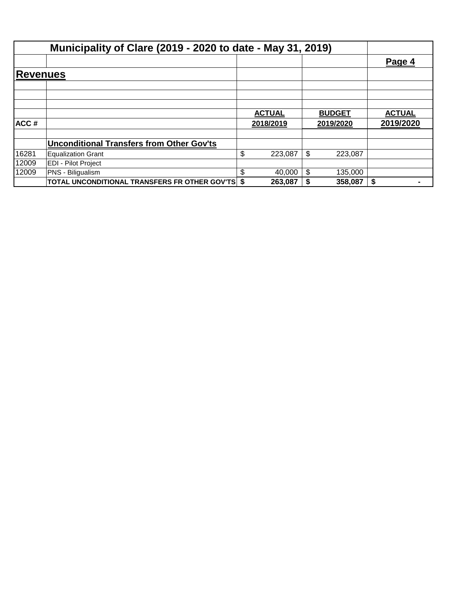|                 | Municipality of Clare (2019 - 2020 to date - May 31, 2019) |                            |                            |                            |
|-----------------|------------------------------------------------------------|----------------------------|----------------------------|----------------------------|
|                 |                                                            |                            |                            | Page 4                     |
| <b>Revenues</b> |                                                            |                            |                            |                            |
|                 |                                                            |                            |                            |                            |
|                 |                                                            |                            |                            |                            |
| ACC#            |                                                            | <b>ACTUAL</b><br>2018/2019 | <b>BUDGET</b><br>2019/2020 | <b>ACTUAL</b><br>2019/2020 |
|                 |                                                            |                            |                            |                            |
|                 | <b>Unconditional Transfers from Other Gov'ts</b>           |                            |                            |                            |
| 16281           | <b>Equalization Grant</b>                                  | \$<br>223,087              | \$<br>223,087              |                            |
| 12009           | EDI - Pilot Project                                        |                            |                            |                            |
| 12009           | PNS - Biligualism                                          | \$<br>40,000               | \$<br>135,000              |                            |
|                 | TOTAL UNCONDITIONAL TRANSFERS FR OTHER GOV'TS \$           | 263,087                    | 358,087                    | \$<br>$\blacksquare$       |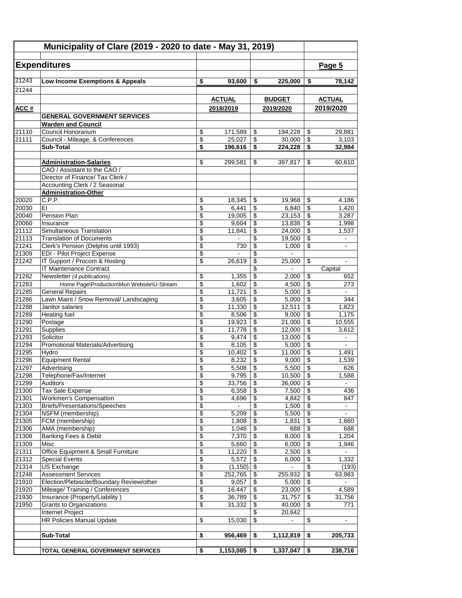| Municipality of Clare (2019 - 2020 to date - May 31, 2019) |                                                              |                          |                   |                                                                          |                   |                                                                  |                       |
|------------------------------------------------------------|--------------------------------------------------------------|--------------------------|-------------------|--------------------------------------------------------------------------|-------------------|------------------------------------------------------------------|-----------------------|
|                                                            | <b>Expenditures</b>                                          |                          |                   |                                                                          |                   |                                                                  | Page 5                |
| 21243                                                      | Low Income Exemptions & Appeals                              | \$                       | 93,600            | \$                                                                       | 225,000           | \$                                                               | 78,142                |
| 21244                                                      |                                                              |                          |                   |                                                                          |                   |                                                                  |                       |
|                                                            |                                                              |                          | <b>ACTUAL</b>     |                                                                          | <b>BUDGET</b>     |                                                                  | <b>ACTUAL</b>         |
| ACC#                                                       |                                                              |                          | 2018/2019         |                                                                          | 2019/2020         |                                                                  | 2019/2020             |
|                                                            | <b>GENERAL GOVERNMENT SERVICES</b>                           |                          |                   |                                                                          |                   |                                                                  |                       |
|                                                            | <b>Warden and Council</b>                                    |                          |                   |                                                                          |                   |                                                                  |                       |
| 21110                                                      | Council Honorarium                                           | \$                       | 171,589           | \$                                                                       | 194.228           | \$                                                               | 29,881                |
| 21111                                                      | Council - Mileage, & Conferences<br>Sub-Total                | \$<br>\$                 | 25,027<br>196,616 | $\overline{\boldsymbol{\theta}}$<br>$\overline{\boldsymbol{\mathsf{s}}}$ | 30,000<br>224,228 | $\overline{\mathcal{E}}$<br>$\overline{\boldsymbol{\mathsf{s}}}$ | 3,103<br>32,984       |
|                                                            |                                                              |                          |                   |                                                                          |                   |                                                                  |                       |
|                                                            | <b>Administration-Salaries</b>                               | \$                       | 299,581           | \$                                                                       | 397,817           | \$                                                               | 60,610                |
|                                                            | CAO / Assistant to the CAO /                                 |                          |                   |                                                                          |                   |                                                                  |                       |
|                                                            | Director of Finance/ Tax Clerk /                             |                          |                   |                                                                          |                   |                                                                  |                       |
|                                                            | Accounting Clerk / 2 Seasonal                                |                          |                   |                                                                          |                   |                                                                  |                       |
| 20020                                                      | <b>Administration-Other</b>                                  |                          |                   |                                                                          |                   |                                                                  | 4.186                 |
| 20030                                                      | C.P.P.<br>EI                                                 | \$<br>\$                 | 18,345<br>6,441   | \$<br>\$                                                                 | 19,968<br>6,840   | \$<br>\$                                                         | 1,420                 |
| 20040                                                      | <b>Pension Plan</b>                                          | \$                       | 19,005            | $\overline{\boldsymbol{\theta}}$                                         | 23,153            | \$                                                               | 3.287                 |
| 20060                                                      | Insurance                                                    | \$                       | 9,604             | \$                                                                       | 13,838            | \$                                                               | 1,998                 |
| 21112                                                      | Simultaneous Translation                                     | \$                       | 11,841            | \$                                                                       | 24,000            | \$                                                               | 1,537                 |
| 21113                                                      | <b>Translation of Documents</b>                              | \$                       |                   | \$                                                                       | 19,500            | \$                                                               | $\blacksquare$        |
| 21241                                                      | Clerk's Pension (Delphis until 1993)                         | \$                       | 730               | \$                                                                       | 1,000             | \$                                                               | $\blacksquare$        |
| 21309                                                      | EDI - Pilot Project Expense<br>IT Support / Procom & Hosting | \$<br>\$                 |                   | \$                                                                       |                   |                                                                  | $\blacksquare$        |
| 21242                                                      | IT Maintenance Contract                                      |                          | 26,619            | \$<br>\$                                                                 | 25,000            | \$                                                               | Capital               |
| 21282                                                      | Newsletter (4 publications)                                  | \$                       | 1,355             | \$                                                                       | 2,000             | \$                                                               | 652                   |
| 21283                                                      | Home Page\Production\Mun Website\U-Stream                    | \$                       | 1,602             | \$                                                                       | 4,500             | \$                                                               | 273                   |
| 21285                                                      | <b>General Repairs</b>                                       | \$                       | 11,721            | \$                                                                       | 5,000             | \$                                                               |                       |
| 21286                                                      | Lawn Maint / Snow Removal/ Landscaping                       | \$                       | 3,605             | \$                                                                       | 5,000             | \$                                                               | 344                   |
| 21288                                                      | Janitor salaries                                             | \$                       | 11,330            | \$                                                                       | 12,511            | \$                                                               | 1,823                 |
| 21289                                                      | <b>Heating fuel</b>                                          | \$                       | 8,506             | \$                                                                       | 9,000             | $\overline{\$}$                                                  | $\overline{1,}175$    |
| 21290<br>21291                                             | Postage<br>Supplies                                          | \$<br>\$                 | 19,923<br>11,778  | \$<br>\$                                                                 | 21,000<br>12,000  | \$<br>$\overline{\$}$                                            | 10,555<br>3,612       |
| 21293                                                      | Solicitor                                                    | \$                       | 9,474             | \$                                                                       | 13,000            | \$                                                               | $\blacksquare$        |
| 21294                                                      | <b>Promotional Materials/Advertising</b>                     | \$                       | 8,105             | \$                                                                       | 5,000             | \$                                                               | $\blacksquare$        |
| 21295                                                      | Hvdro                                                        | \$                       | 10,402            | $\overline{\mathbf{S}}$                                                  | 11,000            | \$                                                               | 1,491                 |
| 21296                                                      | <b>Equipment Rental</b>                                      | \$                       | 8,232             | \$                                                                       | 9,000             | \$                                                               | 1,539                 |
| 21297                                                      | Advertising                                                  | \$                       | 5,508             | \$                                                                       | 5,500             | \$                                                               | 626                   |
| 21298                                                      | Telephone/Fax/Internet                                       | \$                       | 9,795             | \$                                                                       | 10,500            | $\overline{\$}$                                                  | 1,588                 |
| 21299<br>21300                                             | Auditors<br>Tax Sale Expense                                 | \$<br>\$                 | 33,756<br>6,358   | \$<br>\$                                                                 | 36,000<br>7,500   | \$<br>$\overline{\$}$                                            | $\blacksquare$<br>436 |
| 21301                                                      | Workmen's Compensation                                       | \$                       | 4,696             | \$                                                                       | 4,842             | $\overline{\$}$                                                  | 847                   |
| 21303                                                      | Briefs/Presentations/Speeches                                | \$                       | $\blacksquare$    | \$                                                                       | 1,500             | $\overline{\mathbf{e}}$                                          | $\blacksquare$        |
| 21304                                                      | NSFM (membership)                                            | \$                       | 5,209             | \$                                                                       | 5,500             | $\overline{\mathbf{e}}$                                          | $\blacksquare$        |
| 21305                                                      | FCM (membership)                                             | \$                       | 1,808             | $\overline{\mathbf{e}}$                                                  | 1,831             | \$                                                               | 1,660                 |
| 21306                                                      | AMA (membership)                                             | \$                       | 1,048             | \$                                                                       | 688               | $\overline{\mathcal{E}}$                                         | 688                   |
| 21308<br>21309                                             | <b>Banking Fees &amp; Debit</b><br>Misc                      | \$<br>$\overline{\$}$    | 7,370<br>5,660    | \$<br>$\overline{\$}$                                                    | 8,000<br>6,000    | \$<br>$\overline{\$}$                                            | 1,204<br>1,946        |
| 21311                                                      | Office Equipment & Small Furniture                           | \$                       | 11,220            | \$                                                                       | 2,500             | $\overline{\$}$                                                  |                       |
| 21312                                                      | <b>Special Events</b>                                        | \$                       | 5,572             | $\overline{\boldsymbol{\epsilon}}$                                       | 6,000             | $\overline{\$}$                                                  | 1,332                 |
| 21314                                                      | US Exchange                                                  | $\overline{\mathcal{E}}$ | (1, 150)          | $\overline{\mathbf{S}}$                                                  | $\blacksquare$    | \$                                                               | (193)                 |
| 21248                                                      | <b>Assessment Services</b>                                   | \$                       | 252,765           | \$                                                                       | 255,932           | \$                                                               | 63,983                |
| 21910                                                      | Election/Plebiscite/Boundary Review/other                    | \$                       | 9,057             | \$                                                                       | 5,000             | $\overline{\mathbf{e}}$                                          |                       |
| 21920                                                      | Mileage/ Training / Conferences                              | \$                       | 16,447            | \$                                                                       | 23,000            | \$                                                               | 4,589                 |
| 21930<br>21950                                             | Insurance (Property/Liability)                               | $\overline{\$}$          | 36,789            | $\overline{\mathbf{e}}$                                                  | 31,757            | $\overline{\$}$<br>\$                                            | 31,756                |
|                                                            | <b>Grants to Organizations</b><br>Internet Project           | \$                       | 31,332            | \$<br>\$                                                                 | 40,000<br>20,642  |                                                                  | 771                   |
|                                                            | <b>HR Policies Manual Update</b>                             | \$                       | 15,030            | \$                                                                       |                   | \$                                                               |                       |
|                                                            |                                                              |                          |                   |                                                                          |                   |                                                                  |                       |
|                                                            | Sub-Total                                                    | \$                       | 956,469           | \$                                                                       | 1,112,819         | \$                                                               | 205,733               |
|                                                            |                                                              |                          |                   |                                                                          |                   |                                                                  |                       |
|                                                            | TOTAL GENERAL GOVERNMENT SERVICES                            | \$                       | 1,153,085         | \$                                                                       | 1,337,047         | \$                                                               | 238,716               |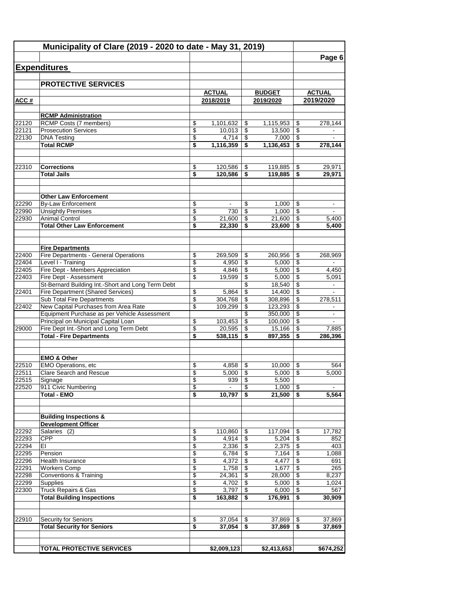| Municipality of Clare (2019 - 2020 to date - May 31, 2019) |                                                                 |                                |                  |                          |                   |          |                |
|------------------------------------------------------------|-----------------------------------------------------------------|--------------------------------|------------------|--------------------------|-------------------|----------|----------------|
|                                                            |                                                                 |                                |                  |                          |                   |          | Page 6         |
|                                                            | <b>Expenditures</b>                                             |                                |                  |                          |                   |          |                |
|                                                            |                                                                 |                                |                  |                          |                   |          |                |
|                                                            | <b>PROTECTIVE SERVICES</b>                                      |                                |                  |                          |                   |          |                |
|                                                            |                                                                 |                                | <b>ACTUAL</b>    |                          | <b>BUDGET</b>     |          | <b>ACTUAL</b>  |
| ACC#                                                       |                                                                 |                                | 2018/2019        |                          | 2019/2020         |          | 2019/2020      |
|                                                            |                                                                 |                                |                  |                          |                   |          |                |
| 22120                                                      | <b>RCMP Administration</b><br>RCMP Costs (7 members)            | \$                             | 1,101,632        | \$                       | 1,115,953         |          | 278,144        |
| 22121                                                      | <b>Prosecution Services</b>                                     | \$                             | 10,013           | \$                       | 13.500            | \$<br>\$ |                |
| 22130                                                      | <b>DNA Testing</b>                                              | \$                             | 4,714            | \$                       | 7,000             | \$       |                |
|                                                            | <b>Total RCMP</b>                                               | \$                             | 1,116,359        | \$                       | 1,136,453         | \$       | 278,144        |
|                                                            |                                                                 |                                |                  |                          |                   |          |                |
|                                                            |                                                                 |                                |                  |                          |                   |          |                |
| 22310                                                      | <b>Corrections</b>                                              | \$                             | 120,586          | \$                       | 119,885           | \$       | 29,971         |
|                                                            | <b>Total Jails</b>                                              | \$                             | 120,586          | \$                       | 119,885           | \$       | 29,971         |
|                                                            |                                                                 |                                |                  |                          |                   |          |                |
|                                                            | <b>Other Law Enforcement</b>                                    |                                |                  |                          |                   |          |                |
| 22290                                                      | <b>By-Law Enforcement</b>                                       | \$                             | ۰.               | \$                       | 1,000             | \$       | $\blacksquare$ |
| 22990                                                      | <b>Unsightly Premises</b>                                       | \$                             | 730              | \$                       | 1,000             | \$       | $\blacksquare$ |
| 22930                                                      | <b>Animal Control</b>                                           | \$                             | 21,600           | \$                       | 21,600            | \$       | 5,400          |
|                                                            | <b>Total Other Law Enforcement</b>                              | \$                             | 22,330           |                          | 23,600            | \$       | 5,400          |
|                                                            |                                                                 |                                |                  |                          |                   |          |                |
|                                                            | <b>Fire Departments</b>                                         |                                |                  |                          |                   |          |                |
| 22400                                                      | Fire Departments - General Operations                           | \$                             | 269,509          | \$                       | 260,956           | \$       | 268,969        |
| 22404                                                      | Level I - Training                                              | $\overline{\mathbf{3}}$        | 4,950            | \$                       | 5,000             | \$       |                |
| 22405                                                      | Fire Dept - Members Appreciation                                | \$                             | 4,846            | \$                       | 5,000             | \$       | 4,450          |
| 22403                                                      | Fire Dept - Assessment                                          | \$                             | 19,599           | \$                       | 5,000             | \$       | 5,091          |
|                                                            | St-Bernard Building Int.-Short and Long Term Debt               |                                |                  | \$                       | 18,540            | \$       |                |
| 22401                                                      | Fire Department (Shared Services)<br>Sub Total Fire Departments | \$<br>$\overline{\mathcal{E}}$ | 5,864<br>304,768 | \$<br>\$                 | 14,400<br>308,896 | \$<br>\$ | 278,511        |
| 22402                                                      | New Capital Purchases from Area Rate                            | \$                             | 109,299          | \$                       | 123,293           | \$       | $\blacksquare$ |
|                                                            | Equipment Purchase as per Vehicle Assessment                    |                                |                  | \$                       | 350,000           | \$       |                |
|                                                            | Principal on Municipal Capital Loan                             | \$                             | 103,453          | \$                       | 100,000           | \$       |                |
| 29000                                                      | Fire Dept Int.-Short and Long Term Debt                         | \$                             | 20,595           | \$                       | 15,166            | \$       | 7,885          |
|                                                            | <b>Total - Fire Departments</b>                                 | \$                             | 538,115          | \$                       | 897,355           | \$       | 286,396        |
|                                                            |                                                                 |                                |                  |                          |                   |          |                |
|                                                            |                                                                 |                                |                  |                          |                   |          |                |
| 22510                                                      | <b>EMO &amp; Other</b><br>EMO Operations, etc                   | \$                             | 4,858            | \$                       | 10,000            | \$       | 564            |
| 22511                                                      | <b>Clare Search and Rescue</b>                                  | \$                             | 5,000            | \$                       | 5,000             | \$       | 5,000          |
| 22515                                                      | Signage                                                         | \$                             | 939              | $\overline{\mathcal{L}}$ | 5,500             |          |                |
| 22520                                                      | 911 Civic Numbering                                             | \$                             | $\sim$           | \$                       | 1,000             | -\$      | $\blacksquare$ |
|                                                            | <b>Total - EMO</b>                                              | \$                             | 10,797           | S.                       | 21,500            | - \$     | 5,564          |
|                                                            |                                                                 |                                |                  |                          |                   |          |                |
|                                                            | <b>Building Inspections &amp;</b>                               |                                |                  |                          |                   |          |                |
|                                                            | <b>Development Officer</b>                                      |                                |                  |                          |                   |          |                |
| 22292                                                      | Salaries (2)                                                    | \$                             | 110,860          | \$                       | 117,094           | \$       | 17,782         |
| 22293                                                      | <b>CPP</b>                                                      | \$                             | 4,914            | \$                       | 5,204             | \$       | 852            |
| 22294                                                      | EI                                                              | \$                             | $2,336$ \$       |                          | 2,375             | \$       | 403            |
| 22295                                                      | Pension                                                         | \$                             |                  |                          | 7,164             | \$       | 1,088          |
| 22296                                                      | Health Insurance                                                | \$                             | 4,372            | \$                       | 4,477             | \$       | 691            |
| 22291                                                      | <b>Workers Comp</b>                                             | \$                             | 1,758            | \$                       | 1,677             | \$       | 265            |
| 22298<br>22299                                             | <b>Conventions &amp; Training</b><br>Supplies                   | \$<br>\$                       | 24,361<br>4,702  | \$<br>\$                 | 28,000<br>5,000   | \$<br>\$ | 8,237<br>1,024 |
| 22300                                                      | <b>Truck Repairs &amp; Gas</b>                                  | \$                             | 3,797            | \$                       | 6,000             | \$       | 567            |
|                                                            | <b>Total Building Inspections</b>                               | \$                             | 163,882          | \$                       | 176,991           | \$       | 30,909         |
|                                                            |                                                                 |                                |                  |                          |                   |          |                |
|                                                            |                                                                 |                                |                  |                          |                   |          |                |
| 22910                                                      | Security for Seniors                                            | \$                             | 37,054           | \$                       | 37,869            | \$       | 37,869         |
|                                                            | <b>Total Security for Seniors</b>                               | \$                             | 37,054           | \$                       | 37,869            | \$       | 37,869         |
|                                                            |                                                                 |                                |                  |                          |                   |          |                |
|                                                            | <b>TOTAL PROTECTIVE SERVICES</b>                                |                                | \$2,009,123      |                          | \$2,413,653       |          | \$674,252      |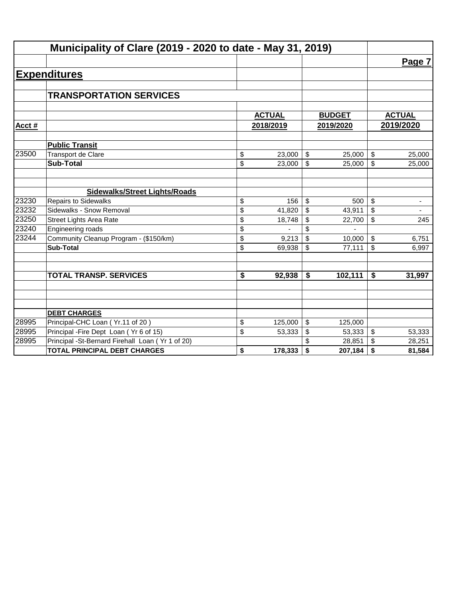|       | Municipality of Clare (2019 - 2020 to date - May 31, 2019) |               |                         |               |                                |
|-------|------------------------------------------------------------|---------------|-------------------------|---------------|--------------------------------|
|       |                                                            |               |                         |               | Page 7                         |
|       | <b>Expenditures</b>                                        |               |                         |               |                                |
|       |                                                            |               |                         |               |                                |
|       | <b>TRANSPORTATION SERVICES</b>                             |               |                         |               |                                |
|       |                                                            |               |                         |               |                                |
|       |                                                            | <b>ACTUAL</b> |                         | <b>BUDGET</b> | <b>ACTUAL</b>                  |
| Acct# |                                                            | 2018/2019     |                         | 2019/2020     | 2019/2020                      |
|       | <b>Public Transit</b>                                      |               |                         |               |                                |
| 23500 | Transport de Clare                                         | \$<br>23,000  | $\mathfrak{P}$          | 25,000        | \$<br>25,000                   |
|       | <b>Sub-Total</b>                                           | \$<br>23,000  | \$                      | 25,000        | \$<br>25,000                   |
|       |                                                            |               |                         |               |                                |
|       | <b>Sidewalks/Street Lights/Roads</b>                       |               |                         |               |                                |
| 23230 | <b>Repairs to Sidewalks</b>                                | \$<br>156     | $\sqrt[6]{\frac{1}{2}}$ | 500           | \$<br>$\overline{\phantom{a}}$ |
| 23232 | Sidewalks - Snow Removal                                   | \$<br>41,820  | \$                      | 43,911        | \$<br>$\blacksquare$           |
| 23250 | <b>Street Lights Area Rate</b>                             | \$<br>18,748  | \$                      | 22,700        | \$<br>245                      |
| 23240 | Engineering roads                                          | \$            | \$                      |               |                                |
| 23244 | Community Cleanup Program - (\$150/km)                     | \$<br>9,213   | \$                      | 10,000        | \$<br>6,751                    |
|       | <b>Sub-Total</b>                                           | \$<br>69,938  | \$                      | 77,111        | \$<br>6,997                    |
|       |                                                            |               |                         |               |                                |
|       | <b>TOTAL TRANSP. SERVICES</b>                              | \$<br>92,938  | \$                      | 102,111       | \$<br>31,997                   |
|       |                                                            |               |                         |               |                                |
|       |                                                            |               |                         |               |                                |
|       | <b>DEBT CHARGES</b>                                        |               |                         |               |                                |
| 28995 | Principal-CHC Loan (Yr.11 of 20)                           | \$<br>125,000 | \$                      | 125,000       |                                |
| 28995 | Principal - Fire Dept Loan (Yr 6 of 15)                    | \$<br>53,333  | \$                      | 53,333        | \$<br>53,333                   |
| 28995 | Principal -St-Bernard Firehall Loan (Yr 1 of 20)           |               |                         | 28,851        | \$<br>28,251                   |
|       | <b>TOTAL PRINCIPAL DEBT CHARGES</b>                        | \$<br>178,333 | \$                      | 207,184       | \$<br>81,584                   |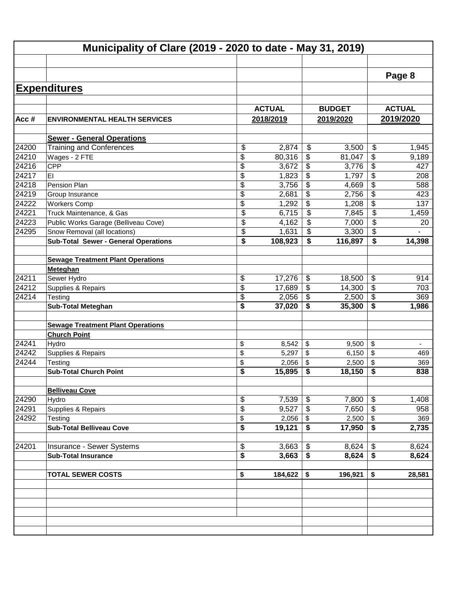|       | Municipality of Clare (2019 - 2020 to date - May 31, 2019) |               |                                  |               |                          |               |
|-------|------------------------------------------------------------|---------------|----------------------------------|---------------|--------------------------|---------------|
|       |                                                            |               |                                  |               |                          |               |
|       |                                                            |               |                                  |               |                          | Page 8        |
|       | <b>Expenditures</b>                                        |               |                                  |               |                          |               |
|       |                                                            |               |                                  |               |                          |               |
|       |                                                            | <b>ACTUAL</b> |                                  | <b>BUDGET</b> |                          | <b>ACTUAL</b> |
| Acc#  | <b>ENVIRONMENTAL HEALTH SERVICES</b>                       | 2018/2019     |                                  | 2019/2020     |                          | 2019/2020     |
|       | <b>Sewer - General Operations</b>                          |               |                                  |               |                          |               |
| 24200 | <b>Training and Conferences</b>                            | \$<br>2,874   | $\frac{1}{2}$                    | 3,500         | \$                       | 1,945         |
| 24210 | Wages - 2 FTE                                              | \$<br>80,316  | \$                               | 81,047        | \$                       | 9,189         |
| 24216 | CPP                                                        | \$<br>3,672   | \$                               | 3,776         | \$                       | 427           |
| 24217 | EI                                                         | \$<br>1,823   | \$                               | 1,797         | \$                       | 208           |
| 24218 | Pension Plan                                               | \$<br>3,756   | \$                               | 4,669         | \$                       | 588           |
| 24219 | Group Insurance                                            | \$<br>2,681   | $\overline{\boldsymbol{\theta}}$ | 2,756         | $\overline{\mathcal{G}}$ | 423           |
| 24222 | <b>Workers Comp</b>                                        | \$<br>1,292   | \$                               | 1,208         | \$                       | 137           |
| 24221 | Truck Maintenance, & Gas                                   | \$<br>6,715   | $\overline{\mathbf{S}}$          | 7,845         | \$                       | 1,459         |
| 24223 | Public Works Garage (Belliveau Cove)                       | \$<br>4,162   | $\overline{\mathbf{S}}$          | 7,000         | \$                       | 20            |
| 24295 | Snow Removal (all locations)                               | \$<br>1,631   | $\overline{\mathbf{S}}$          | 3,300         | \$                       |               |
|       | <b>Sub-Total Sewer - General Operations</b>                | \$<br>108,923 | \$                               | 116,897       | \$                       | 14,398        |
|       |                                                            |               |                                  |               |                          |               |
|       | <b>Sewage Treatment Plant Operations</b>                   |               |                                  |               |                          |               |
|       | Meteghan                                                   |               |                                  |               |                          |               |
| 24211 | Sewer Hydro                                                | \$<br>17,276  | \$                               | 18,500        | \$                       | 914           |
| 24212 | Supplies & Repairs                                         | \$<br>17,689  | $\boldsymbol{\mathsf{S}}$        | 14,300        | \$                       | 703           |
| 24214 | Testing                                                    | \$<br>2,056   | \$                               | 2,500         | $\overline{\$}$          | 369           |
|       | <b>Sub-Total Meteghan</b>                                  | \$<br>37,020  | \$                               | 35,300        | \$                       | 1,986         |
|       |                                                            |               |                                  |               |                          |               |
|       | <b>Sewage Treatment Plant Operations</b>                   |               |                                  |               |                          |               |
|       | <b>Church Point</b>                                        |               |                                  |               |                          |               |
| 24241 | Hydro                                                      | \$<br>8,542   | \$                               | 9,500         | \$                       |               |
| 24242 | Supplies & Repairs                                         | \$<br>5,297   | \$                               | 6,150         | \$                       | 469           |
| 24244 | Testing                                                    | \$<br>2,056   | \$                               | 2,500         | \$                       | 369           |
|       | <b>Sub-Total Church Point</b>                              | \$<br>15,895  | \$                               | 18,150        | \$                       | 838           |
|       |                                                            |               |                                  |               |                          |               |
|       | <b>Belliveau Cove</b>                                      |               |                                  |               |                          |               |
| 24290 | Hydro                                                      | \$<br>7,539   | \$                               | 7,800         | \$                       | 1,408         |
| 24291 | Supplies & Repairs                                         | \$<br>9,527   | $\boldsymbol{\mathsf{S}}$        | 7,650         | \$                       | 958           |
| 24292 | Testing                                                    | \$<br>2,056   |                                  | 2,500         |                          | 369           |
|       | <b>Sub-Total Belliveau Cove</b>                            | \$<br>19,121  | \$<br>\$                         | 17,950        | \$<br>\$                 | 2,735         |
|       |                                                            |               |                                  |               |                          |               |
| 24201 | Insurance - Sewer Systems                                  | \$<br>3,663   | \$                               | 8,624         | \$                       | 8,624         |
|       | <b>Sub-Total Insurance</b>                                 | \$<br>3,663   | \$                               | 8,624         | \$                       | 8,624         |
|       |                                                            |               |                                  |               |                          |               |
|       | <b>TOTAL SEWER COSTS</b>                                   | \$<br>184,622 | \$                               | 196,921       | \$                       | 28,581        |
|       |                                                            |               |                                  |               |                          |               |
|       |                                                            |               |                                  |               |                          |               |
|       |                                                            |               |                                  |               |                          |               |
|       |                                                            |               |                                  |               |                          |               |
|       |                                                            |               |                                  |               |                          |               |
|       |                                                            |               |                                  |               |                          |               |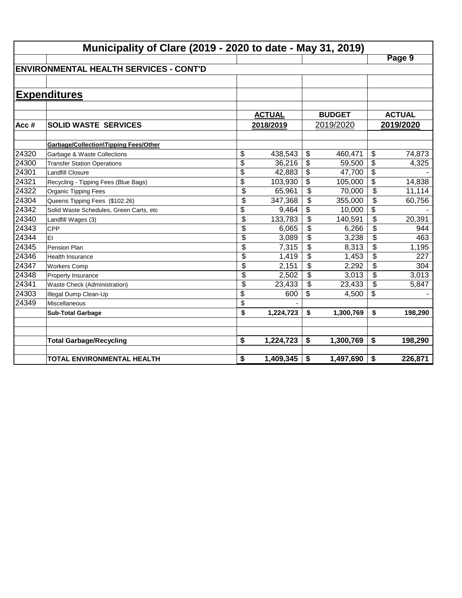|       | Municipality of Clare (2019 - 2020 to date - May 31, 2019) |                 |               |                          |               |                           |               |  |  |  |  |
|-------|------------------------------------------------------------|-----------------|---------------|--------------------------|---------------|---------------------------|---------------|--|--|--|--|
|       |                                                            |                 |               |                          |               |                           | Page 9        |  |  |  |  |
|       | <b>ENVIRONMENTAL HEALTH SERVICES - CONT'D</b>              |                 |               |                          |               |                           |               |  |  |  |  |
|       |                                                            |                 |               |                          |               |                           |               |  |  |  |  |
|       | <b>Expenditures</b>                                        |                 |               |                          |               |                           |               |  |  |  |  |
|       |                                                            |                 |               |                          |               |                           |               |  |  |  |  |
|       |                                                            |                 | <b>ACTUAL</b> |                          | <b>BUDGET</b> |                           | <b>ACTUAL</b> |  |  |  |  |
| Acc#  | <b>SOLID WASTE SERVICES</b>                                |                 | 2018/2019     |                          | 2019/2020     |                           | 2019/2020     |  |  |  |  |
|       |                                                            |                 |               |                          |               |                           |               |  |  |  |  |
|       | Garbage/Collection\Tipping Fees/Other                      |                 |               |                          |               |                           |               |  |  |  |  |
| 24320 | Garbage & Waste Collections                                | \$              | 438,543       | \$                       | 460,471       | \$                        | 74,873        |  |  |  |  |
| 24300 | <b>Transfer Station Operations</b>                         | $\overline{\$}$ | 36,216        | \$                       | 59,500        | \$                        | 4,325         |  |  |  |  |
| 24301 | <b>Landfill Closure</b>                                    | $\overline{\$}$ | 42,883        | \$                       | 47,700        | $\overline{\$}$           |               |  |  |  |  |
| 24321 | Recycling - Tipping Fees (Blue Bags)                       | $\overline{\$}$ | 103,930       | \$                       | 105,000       | $\overline{\$}$           | 14,838        |  |  |  |  |
| 24322 | <b>Organic Tipping Fees</b>                                | $\overline{\$}$ | 65,961        | $\overline{\mathcal{S}}$ | 70,000        | $\overline{\mathfrak{s}}$ | 11,114        |  |  |  |  |
| 24304 | Queens Tipping Fees (\$102.26)                             | \$              | 347,368       | \$                       | 355,000       | \$                        | 60,756        |  |  |  |  |
| 24342 | Solid Waste Schedules, Green Carts, etc                    | \$              | 9,464         | \$                       | 10,000        | \$                        |               |  |  |  |  |
| 24340 | Landfill Wages (3)                                         | $\overline{\$}$ | 133,783       | \$                       | 140,591       | \$                        | 20,391        |  |  |  |  |
| 24343 | <b>CPP</b>                                                 | \$              | 6,065         | \$                       | 6,266         | \$                        | 944           |  |  |  |  |
| 24344 | EI                                                         | \$              | 3,089         | \$                       | 3,238         | \$                        | 463           |  |  |  |  |
| 24345 | Pension Plan                                               | \$              | 7,315         | \$                       | 8,313         | \$                        | 1,195         |  |  |  |  |
| 24346 | <b>Health Insurance</b>                                    | \$              | 1,419         | \$                       | 1,453         | \$                        | 227           |  |  |  |  |
| 24347 | <b>Workers Comp</b>                                        | \$              | 2,151         | \$                       | 2,292         | \$                        | 304           |  |  |  |  |
| 24348 | Property Insurance                                         | \$              | 2,502         | \$                       | 3,013         | \$                        | 3,013         |  |  |  |  |
| 24341 | Waste Check (Administration)                               | \$              | 23,433        | \$                       | 23,433        | \$                        | 5,847         |  |  |  |  |
| 24303 | Illegal Dump Clean-Up                                      | \$              | 600           | \$                       | 4,500         | \$                        |               |  |  |  |  |
| 24349 | Miscellaneous                                              | \$              |               |                          |               |                           |               |  |  |  |  |
|       | <b>Sub-Total Garbage</b>                                   | \$              | 1,224,723     | \$                       | 1,300,769     | \$                        | 198,290       |  |  |  |  |
|       |                                                            |                 |               |                          |               |                           |               |  |  |  |  |
|       |                                                            |                 |               |                          |               |                           |               |  |  |  |  |
|       | <b>Total Garbage/Recycling</b>                             | \$              | 1,224,723     | \$                       | 1,300,769     | \$                        | 198,290       |  |  |  |  |
|       |                                                            |                 |               |                          |               |                           |               |  |  |  |  |
|       | TOTAL ENVIRONMENTAL HEALTH                                 | \$              | 1,409,345     | \$                       | 1,497,690     | \$                        | 226,871       |  |  |  |  |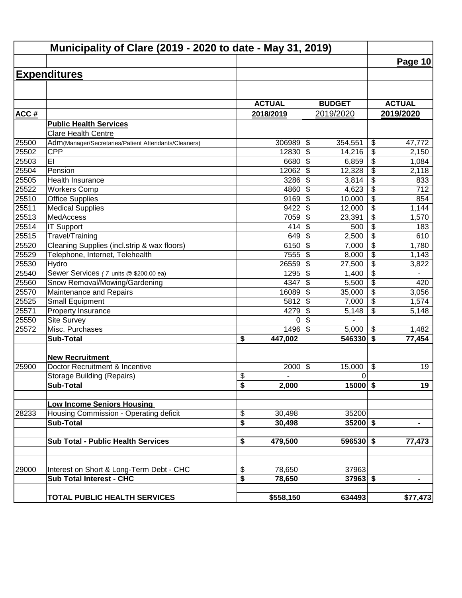|             | Municipality of Clare (2019 - 2020 to date - May 31, 2019) |               |                                      |                                         |
|-------------|------------------------------------------------------------|---------------|--------------------------------------|-----------------------------------------|
|             |                                                            |               |                                      | <b>Page 10</b>                          |
|             | <b>Expenditures</b>                                        |               |                                      |                                         |
|             |                                                            |               |                                      |                                         |
|             |                                                            |               |                                      |                                         |
|             |                                                            | <b>ACTUAL</b> | <b>BUDGET</b>                        | <b>ACTUAL</b>                           |
| <b>ACC#</b> |                                                            | 2018/2019     | 2019/2020                            | 2019/2020                               |
|             | <b>Public Health Services</b>                              |               |                                      |                                         |
|             | Clare Health Centre                                        |               |                                      |                                         |
| 25500       | Adm(Manager/Secretaries/Patient Attendants/Cleaners)       | 306989        | $\boldsymbol{\mathsf{S}}$<br>354,551 | \$<br>47,772                            |
| 25502       | <b>CPP</b>                                                 | 12830         | \$<br>14,216                         | \$<br>2,150                             |
| 25503       | EI                                                         | 6680          | $\boldsymbol{\mathsf{S}}$<br>6,859   | \$<br>1,084                             |
| 25504       | Pension                                                    | 12062         | $\boldsymbol{\mathsf{S}}$<br>12,328  | $\overline{\$}$<br>2,118                |
| 25505       | Health Insurance                                           | 3286          | $\boldsymbol{\mathsf{S}}$<br>3,814   | $\overline{\boldsymbol{\theta}}$<br>833 |
| 25522       | <b>Workers Comp</b>                                        | 4860          | $\boldsymbol{\mathsf{S}}$<br>4,623   | $\overline{\$}$<br>712                  |
| 25510       | <b>Office Supplies</b>                                     | 9169          | $\boldsymbol{\mathsf{S}}$<br>10,000  | $\overline{\$}$<br>854                  |
| 25511       | <b>Medical Supplies</b>                                    | 9422          | $\overline{\mathcal{S}}$<br>12,000   | $\overline{\$}$<br>1,144                |
| 25513       | MedAccess                                                  | 7059          | \$<br>23,391                         | $\overline{\$}$<br>1,570                |
| 25514       | <b>IT Support</b>                                          | 414           | $\boldsymbol{\mathsf{S}}$<br>500     | $\overline{\$}$<br>183                  |
| 25515       | Travel/Training                                            | 649           | $\boldsymbol{\mathsf{S}}$<br>2,500   | \$<br>610                               |
| 25520       | Cleaning Supplies (incl.strip & wax floors)                | 6150          | \$<br>7,000                          | $\overline{\$}$<br>1,780                |
| 25529       | Telephone, Internet, Telehealth                            | 7555          | \$<br>8,000                          | $\overline{\$}$<br>1,143                |
| 25530       | Hydro                                                      | 26559         | \$<br>27,500                         | \$<br>3,822                             |
| 25540       | Sewer Services (7 units @ \$200.00 ea)                     | 1295          | $\boldsymbol{\mathsf{S}}$<br>1,400   | $\overline{\mathcal{L}}$                |
| 25560       | Snow Removal/Mowing/Gardening                              | 4347          | \$<br>5,500                          | $\overline{\mathbf{S}}$<br>420          |
| 25570       | Maintenance and Repairs                                    | 16089         | \$<br>35,000                         | $\overline{\mathcal{L}}$<br>3,056       |
| 25525       | <b>Small Equipment</b>                                     | 5812          | \$<br>7,000                          | $\sqrt[6]{\frac{1}{2}}$<br>1,574        |
| 25571       | Property Insurance                                         | 4279          | \$<br>5,148                          | \$<br>5,148                             |
| 25550       | <b>Site Survey</b>                                         | 0             | \$                                   |                                         |
| 25572       | Misc. Purchases                                            | 1496          | $\mathfrak{S}$<br>5,000              | $\sqrt[6]{\frac{1}{2}}$<br>1,482        |
|             | <b>Sub-Total</b>                                           | \$<br>447,002 | 546330                               | \$<br>77,454                            |
|             | <b>New Recruitment</b>                                     |               |                                      |                                         |
| 25900       | Doctor Recruitment & Incentive                             | 2000          | \$<br>15,000                         | \$<br>19                                |
|             | <b>Storage Building (Repairs)</b>                          | \$            | $\mathbf 0$                          |                                         |
|             | <b>Sub-Total</b>                                           | \$<br>2,000   | $15000$ \$                           | 19                                      |
|             |                                                            |               |                                      |                                         |
|             | <b>Low Income Seniors Housing</b>                          |               |                                      |                                         |
| 28233       | Housing Commission - Operating deficit                     | \$<br>30,498  | 35200                                |                                         |
|             | <b>Sub-Total</b>                                           | \$<br>30,498  | $35200$ \$                           | $\blacksquare$                          |
|             |                                                            |               |                                      |                                         |
|             | Sub Total - Public Health Services                         | 479,500<br>\$ | 596530 \$                            | 77,473                                  |
|             |                                                            |               |                                      |                                         |
| 29000       | Interest on Short & Long-Term Debt - CHC                   | \$<br>78,650  | 37963                                |                                         |
|             | <b>Sub Total Interest - CHC</b>                            | \$<br>78,650  | $37963$ \$                           | $\blacksquare$                          |
|             |                                                            |               |                                      |                                         |
|             | TOTAL PUBLIC HEALTH SERVICES                               | \$558,150     | 634493                               | \$77,473                                |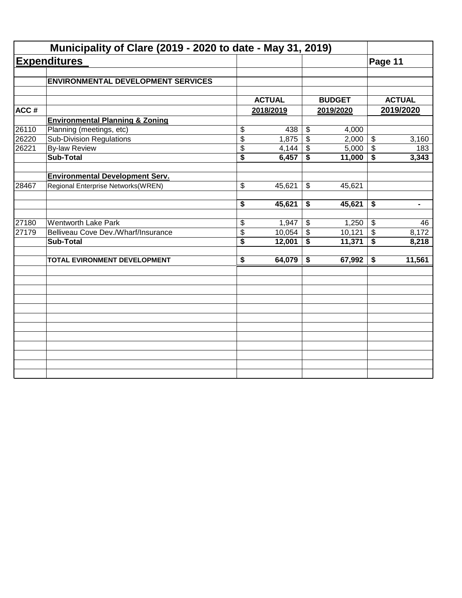|                                           |                                                                                                                                                                                                                                                                                             |                                                                       |                                                                                           |                                                                                                       | Page 11                                                                                                                                 |                                                                                              |
|-------------------------------------------|---------------------------------------------------------------------------------------------------------------------------------------------------------------------------------------------------------------------------------------------------------------------------------------------|-----------------------------------------------------------------------|-------------------------------------------------------------------------------------------|-------------------------------------------------------------------------------------------------------|-----------------------------------------------------------------------------------------------------------------------------------------|----------------------------------------------------------------------------------------------|
| <b>ENVIRONMENTAL DEVELOPMENT SERVICES</b> |                                                                                                                                                                                                                                                                                             |                                                                       |                                                                                           |                                                                                                       |                                                                                                                                         |                                                                                              |
|                                           |                                                                                                                                                                                                                                                                                             |                                                                       |                                                                                           |                                                                                                       |                                                                                                                                         |                                                                                              |
|                                           |                                                                                                                                                                                                                                                                                             |                                                                       |                                                                                           |                                                                                                       |                                                                                                                                         | <b>ACTUAL</b>                                                                                |
|                                           |                                                                                                                                                                                                                                                                                             |                                                                       |                                                                                           |                                                                                                       |                                                                                                                                         | 2019/2020                                                                                    |
|                                           |                                                                                                                                                                                                                                                                                             |                                                                       |                                                                                           |                                                                                                       |                                                                                                                                         |                                                                                              |
|                                           |                                                                                                                                                                                                                                                                                             |                                                                       |                                                                                           |                                                                                                       |                                                                                                                                         |                                                                                              |
|                                           |                                                                                                                                                                                                                                                                                             |                                                                       |                                                                                           |                                                                                                       |                                                                                                                                         | 3,160                                                                                        |
|                                           |                                                                                                                                                                                                                                                                                             |                                                                       | \$                                                                                        |                                                                                                       | \$                                                                                                                                      | 183                                                                                          |
|                                           |                                                                                                                                                                                                                                                                                             |                                                                       | \$                                                                                        | 11,000                                                                                                | \$                                                                                                                                      | 3,343                                                                                        |
|                                           |                                                                                                                                                                                                                                                                                             |                                                                       |                                                                                           |                                                                                                       |                                                                                                                                         |                                                                                              |
| Regional Enterprise Networks(WREN)        | \$                                                                                                                                                                                                                                                                                          | 45,621                                                                | \$                                                                                        | 45,621                                                                                                |                                                                                                                                         |                                                                                              |
|                                           | \$                                                                                                                                                                                                                                                                                          | 45,621                                                                | \$                                                                                        | 45,621                                                                                                | \$                                                                                                                                      | $\qquad \qquad \blacksquare$                                                                 |
|                                           |                                                                                                                                                                                                                                                                                             |                                                                       |                                                                                           |                                                                                                       |                                                                                                                                         | 46                                                                                           |
|                                           |                                                                                                                                                                                                                                                                                             |                                                                       |                                                                                           |                                                                                                       |                                                                                                                                         | 8,172                                                                                        |
| <b>Sub-Total</b>                          | $\overline{\boldsymbol{s}}$                                                                                                                                                                                                                                                                 | 12,001                                                                | \$                                                                                        | 11,371                                                                                                | $\overline{\mathbf{s}}$                                                                                                                 | 8,218                                                                                        |
| TOTAL EVIRONMENT DEVELOPMENT              |                                                                                                                                                                                                                                                                                             |                                                                       | \$                                                                                        |                                                                                                       | \$                                                                                                                                      | 11,561                                                                                       |
|                                           |                                                                                                                                                                                                                                                                                             |                                                                       |                                                                                           |                                                                                                       |                                                                                                                                         |                                                                                              |
|                                           |                                                                                                                                                                                                                                                                                             |                                                                       |                                                                                           |                                                                                                       |                                                                                                                                         |                                                                                              |
|                                           |                                                                                                                                                                                                                                                                                             |                                                                       |                                                                                           |                                                                                                       |                                                                                                                                         |                                                                                              |
|                                           |                                                                                                                                                                                                                                                                                             |                                                                       |                                                                                           |                                                                                                       |                                                                                                                                         |                                                                                              |
|                                           |                                                                                                                                                                                                                                                                                             |                                                                       |                                                                                           |                                                                                                       |                                                                                                                                         |                                                                                              |
|                                           |                                                                                                                                                                                                                                                                                             |                                                                       |                                                                                           |                                                                                                       |                                                                                                                                         |                                                                                              |
|                                           |                                                                                                                                                                                                                                                                                             |                                                                       |                                                                                           |                                                                                                       |                                                                                                                                         |                                                                                              |
|                                           |                                                                                                                                                                                                                                                                                             |                                                                       |                                                                                           |                                                                                                       |                                                                                                                                         |                                                                                              |
|                                           | <b>Expenditures</b><br><b>Environmental Planning &amp; Zoning</b><br>Planning (meetings, etc)<br><b>Sub-Division Regulations</b><br><b>By-law Review</b><br><b>Sub-Total</b><br><b>Environmental Development Serv.</b><br><b>Wentworth Lake Park</b><br>Belliveau Cove Dev./Wharf/Insurance | \$<br>$\overline{\$}$<br>\$<br>\$<br>\$<br>\$<br>$\overline{\bullet}$ | <b>ACTUAL</b><br>2018/2019<br>438<br>1,875<br>4,144<br>6,457<br>1,947<br>10,054<br>64,079 | $\boldsymbol{\mathsf{S}}$<br>$\overline{\$}$<br>$\boldsymbol{\mathsf{S}}$<br>$\overline{\mathcal{S}}$ | Municipality of Clare (2019 - 2020 to date - May 31, 2019)<br><b>BUDGET</b><br>2019/2020<br>4,000<br>5,000<br>1,250<br>10,121<br>67,992 | 2,000<br>$\boldsymbol{\mathsf{S}}$<br>$\boldsymbol{\mathsf{S}}$<br>$\boldsymbol{\mathsf{S}}$ |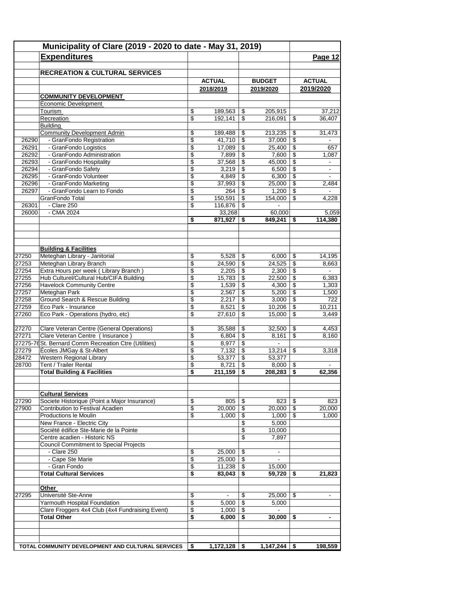|       | Municipality of Clare (2019 - 2020 to date - May 31, 2019)             |          |                |                          |                |                          |                          |
|-------|------------------------------------------------------------------------|----------|----------------|--------------------------|----------------|--------------------------|--------------------------|
|       | <b>Expenditures</b>                                                    |          |                |                          |                |                          | Page 12                  |
|       |                                                                        |          |                |                          |                |                          |                          |
|       | <b>RECREATION &amp; CULTURAL SERVICES</b>                              |          |                |                          |                |                          |                          |
|       |                                                                        |          | <b>ACTUAL</b>  |                          | <b>BUDGET</b>  |                          | <b>ACTUAL</b>            |
|       |                                                                        |          | 2018/2019      |                          | 2019/2020      |                          | 2019/2020                |
|       | <b>COMMUNITY DEVELOPMENT</b>                                           |          |                |                          |                |                          |                          |
|       | Economic Development                                                   |          |                |                          |                |                          |                          |
|       | Tourism                                                                | \$       | 189,563        | \$                       | 205,915        |                          | 37,212                   |
|       | Recreation<br>Building                                                 | \$       | 192,141        | \$                       | 216,091        | \$                       | 36,407                   |
|       | <b>Community Development Admin</b>                                     | \$       | 189,488        | \$                       | 213,235        | \$                       | 31,473                   |
| 26290 | - GranFondo Registration                                               | \$       | 41,710         | \$                       | 37,000         | \$                       |                          |
| 26291 | - GranFondo Logistics                                                  | \$       | 17,089         | \$                       | 25,400         | \$                       | 657                      |
| 26292 | - GranFondo Administration                                             | \$       | 7,899          | \$                       | 7,600          | \$                       | 1,087                    |
| 26293 | - GranFondo Hospitality                                                | \$       | 37,568         | \$                       | 45,000         | \$                       |                          |
| 26294 | - GranFondo Safety                                                     | \$       | 3,219          | \$                       | 6,500          | \$                       | $\overline{\phantom{a}}$ |
| 26295 | - GranFondo Volunteer                                                  | \$       | 4,849          | $\overline{\mathcal{L}}$ | 6,300          | $\overline{\mathcal{L}}$ |                          |
| 26296 | - GranFondo Marketing                                                  | \$       | 37,993         | \$                       | 25,000         | \$                       | 2,484                    |
| 26297 | - GranFondo Learn to Fondo                                             | \$       | 264            | \$                       | 1,200          | \$                       | $\blacksquare$           |
|       | GranFondo Total                                                        | \$       | 150,591        | \$                       | 154,000        | \$                       | 4,228                    |
| 26301 | - Clare 250                                                            | \$       | 116,876        | \$                       |                |                          |                          |
| 26000 | $-CMA$ 2024                                                            |          | 33,268         |                          | 60,000         |                          | 5,059                    |
|       |                                                                        | \$       | 871.927        | \$                       | 849.241        | \$                       | 114,380                  |
|       |                                                                        |          |                |                          |                |                          |                          |
|       | <b>Building &amp; Facilities</b>                                       |          |                |                          |                |                          |                          |
| 27250 | Meteghan Library - Janitorial                                          | \$       | 5,528          | \$                       | 6,000          | \$                       | 14,195                   |
| 27253 | Meteghan Library Branch                                                | \$       | 24,590         | \$                       | 24,525         | \$                       | 8,663                    |
| 27254 | Extra Hours per week (Library Branch)                                  | \$       | 2,205          | $\sqrt[6]{3}$            | 2,300          | \$                       | $\blacksquare$           |
| 27255 | Hub Culturel/Cultural Hub/CIFA Building                                | \$       | 15,783         | \$                       | 22,500         | \$                       | 6,383                    |
| 27256 | <b>Havelock Community Centre</b>                                       | \$       | 1,539          | \$                       | 4,300          | \$                       | 1,303                    |
| 27257 | Meteghan Park                                                          | \$       | 2,567          | \$                       | 5,200          | \$                       | 1,500                    |
| 27258 | <b>Ground Search &amp; Rescue Building</b>                             | \$       | 2,217          | \$                       | 3,000          | \$                       | 722                      |
| 27259 | Eco Park - Insurance                                                   | \$       | 8,521          | \$                       | 10,206         | \$                       | 10,211                   |
| 27260 | Eco Park - Operations (hydro, etc)                                     | \$       | 27,610         | \$                       | 15,000         | \$                       | 3,449                    |
| 27270 | Clare Veteran Centre (General Operations)                              | \$       | 35,588         | \$                       | 32,500         | \$                       | 4,453                    |
| 27271 | Clare Veteran Centre (Insurance)                                       | \$       | 6,804          | \$                       | 8,161          | \$                       | 8,160                    |
|       | 27275-76 St. Bernard Comm Recreation Ctre (Utilities)                  | \$       | 8,977          | $\sqrt[6]{3}$            | $\blacksquare$ |                          |                          |
| 27279 | Écoles JMGay & St-Albert                                               | \$       | 7,132          | \$                       | 13,214         | \$                       | 3,318                    |
| 28472 | Western Regional Library                                               | \$       | 53,377         | \$                       | 53,377         |                          |                          |
| 28700 | Tent / Trailer Rental                                                  | \$       | 8,721          | \$                       | 8,000          | \$                       |                          |
|       | <b>Total Building &amp; Facilities</b>                                 | \$       | 211,159        | \$                       | 208,283        | \$                       | 62,356                   |
|       |                                                                        |          |                |                          |                |                          |                          |
|       | <b>Cultural Services</b>                                               |          |                |                          |                |                          |                          |
| 27290 | Societe Historique (Point a Major Insurance)                           | \$       | 805            | \$                       | 823            | \$                       | 823                      |
| 27900 | Contribution to Festival Acadien                                       | \$       | 20,000         | \$                       | 20,000         | \$                       | 20,000                   |
|       | Productions le Moulin                                                  | \$       | 1,000          | \$                       | 1,000          | \$                       | 1,000                    |
|       | New France - Electric City                                             |          |                | \$                       | 5,000          |                          |                          |
|       | Société édifice Ste-Marie de la Pointe<br>Centre acadien - Historic NS |          |                | \$<br>\$                 | 10,000         |                          |                          |
|       |                                                                        |          |                |                          | 7,897          |                          |                          |
|       | <b>Council Commitment to Special Projects</b><br>- Clare 250           | \$       | 25,000         | \$                       | $\blacksquare$ |                          |                          |
|       | - Cape Ste Marie                                                       |          | 25,000         |                          | $\blacksquare$ |                          |                          |
|       | - Gran Fondo                                                           | \$<br>\$ | 11,238         | \$<br>\$                 | 15,000         |                          |                          |
|       | <b>Total Cultural Services</b>                                         | \$       | 83,043         | \$                       | 59.720         | \$                       | 21,823                   |
|       |                                                                        |          |                |                          |                |                          |                          |
|       | Other                                                                  |          |                |                          |                |                          |                          |
| 27295 | Université Ste-Anne                                                    | \$       | $\blacksquare$ | \$                       | 25,000         | \$                       |                          |
|       | Yarmouth Hospital Foundation                                           | \$       | 5,000          | \$                       | 5,000          |                          |                          |
|       | Clare Froggers 4x4 Club (4x4 Fundraising Event)                        | \$       | 1,000          | \$                       | $\blacksquare$ |                          |                          |
|       | <b>Total Other</b>                                                     | \$       | 6,000          | \$                       | 30,000         | \$                       |                          |
|       |                                                                        |          |                |                          |                |                          |                          |
|       | TOTAL COMMUNITY DEVELOPMENT AND CULTURAL SERVICES                      | \$       | $1,172,128$ \$ |                          | 1,147,244      | \$                       | 198,559                  |
|       |                                                                        |          |                |                          |                |                          |                          |